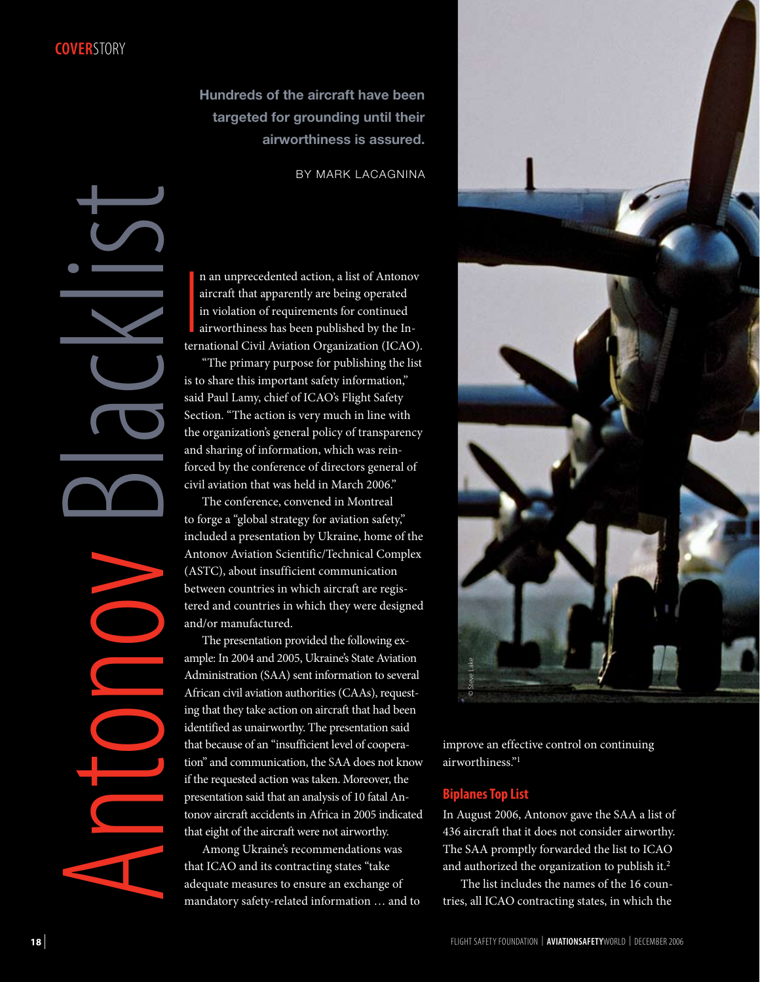**Hundreds of the aircraft have been targeted for grounding until their airworthiness is assured.**

BY MARK LACAGNINA

|<br>|<br>|<br>|ter! n an unprecedented action, a list of Antonov aircraft that apparently are being operated in violation of requirements for continued airworthiness has been published by the International Civil Aviation Organization (ICAO).

"The primary purpose for publishing the list is to share this important safety information," said Paul Lamy, chief of ICAO's Flight Safety Section. "The action is very much in line with the organization's general policy of transparency and sharing of information, which was reinforced by the conference of directors general of civil aviation that was held in March 2006."

The conference, convened in Montreal to forge a "global strategy for aviation safety," included a presentation by Ukraine, home of the Antonov Aviation Scientific/Technical Complex (ASTC), about insufficient communication between countries in which aircraft are registered and countries in which they were designed and/or manufactured.

The presentation provided the following example: In 2004 and 2005, Ukraine's State Aviation Administration (SAA) sent information to several African civil aviation authorities (CAAs), requesting that they take action on aircraft that had been identified as unairworthy. The presentation said that because of an "insufficient level of cooperation" and communication, the SAA does not know if the requested action was taken. Moreover, the presentation said that an analysis of 10 fatal Antonov aircraft accidents in Africa in 2005 indicated that eight of the aircraft were not airworthy.

Among Ukraine's recommendations was that ICAO and its contracting states "take adequate measures to ensure an exchange of mandatory safety-related information … and to



improve an effective control on continuing airworthiness."1

## **Biplanes Top List**

In August 2006, Antonov gave the SAA a list of 436 aircraft that it does not consider airworthy. The SAA promptly forwarded the list to ICAO and authorized the organization to publish it.2

The list includes the names of the 16 countries, all ICAO contracting states, in which the

A

ntonov

Blacklist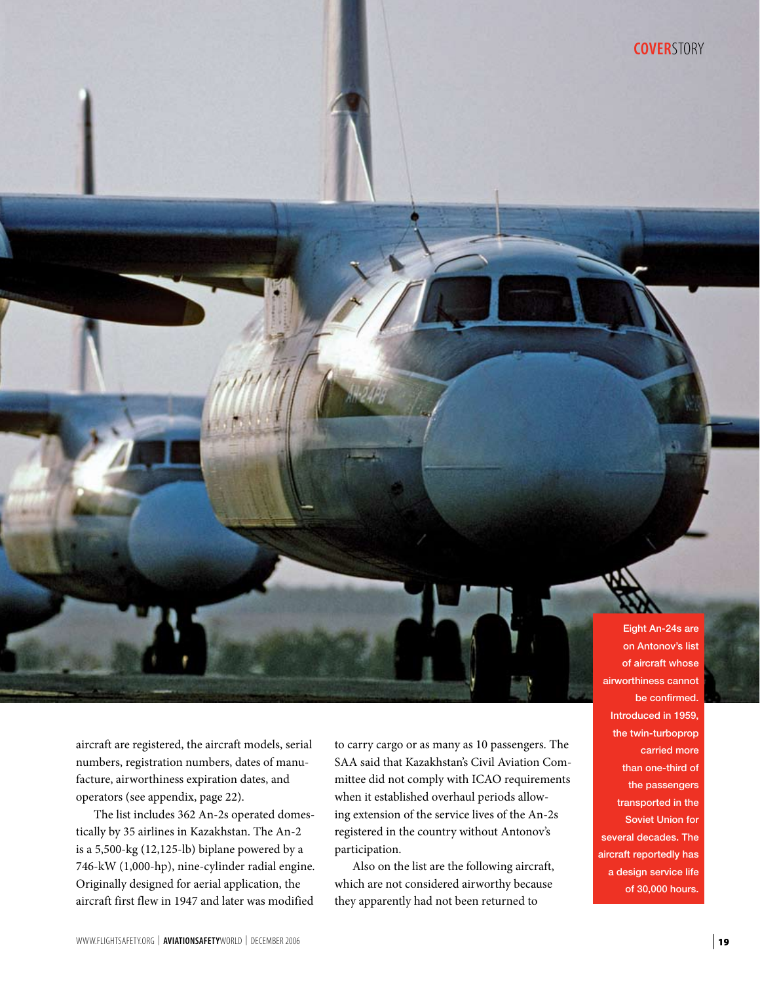aircraft are registered, the aircraft models, serial numbers, registration numbers, dates of manufacture, airworthiness expiration dates, and operators (see appendix, page 22).

The list includes 362 An-2s operated domestically by 35 airlines in Kazakhstan. The An-2 is a 5,500-kg (12,125-lb) biplane powered by a 746-kW (1,000-hp), nine-cylinder radial engine. Originally designed for aerial application, the aircraft first flew in 1947 and later was modified

to carry cargo or as many as 10 passengers. The SAA said that Kazakhstan's Civil Aviation Committee did not comply with ICAO requirements when it established overhaul periods allowing extension of the service lives of the An-2s registered in the country without Antonov's participation.

Also on the list are the following aircraft, which are not considered airworthy because they apparently had not been returned to

on Antonov's list of aircraft whose airworthiness cannot be confirmed. Introduced in 1959, the twin-turboprop carried more than one-third of the passengers transported in the Soviet Union for several decades. The aircraft reportedly has a design service life of 30,000 hours.

Eight An-24s are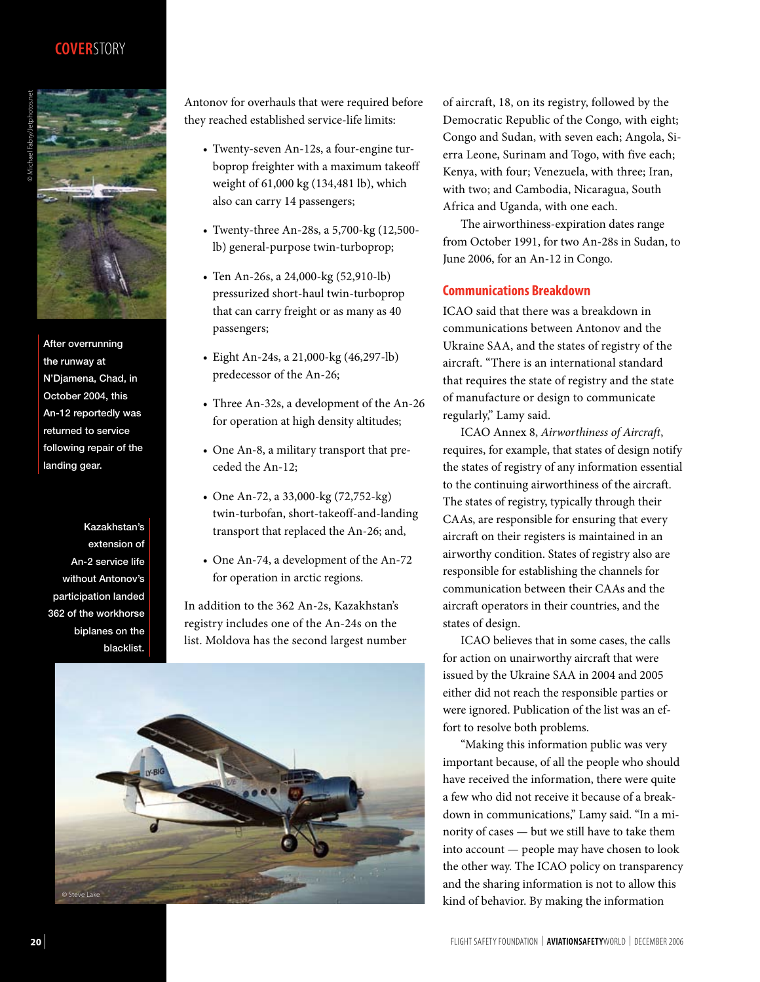# **Cover**story



After overrunning the runway at N'Djamena, Chad, in October 2004, this An-12 reportedly was returned to service following repair of the landing gear.

Kazakhstan's extension of An-2 service life without Antonov's participation landed 362 of the workhorse biplanes on the blacklist.

Antonov for overhauls that were required before they reached established service-life limits:

- Twenty-seven An-12s, a four-engine turboprop freighter with a maximum takeoff weight of 61,000 kg (134,481 lb), which also can carry 14 passengers;
- Twenty-three An-28s, a 5,700-kg (12,500 lb) general-purpose twin-turboprop;
- Ten An-26s, a 24,000-kg (52,910-lb) pressurized short-haul twin-turboprop that can carry freight or as many as 40 passengers;
- Eight An-24s, a 21,000-kg (46,297-lb) predecessor of the An-26;
- Three An-32s, a development of the An-26 for operation at high density altitudes;
- One An-8, a military transport that preceded the An-12;
- One An-72, a 33,000-kg (72,752-kg) twin-turbofan, short-takeoff-and-landing transport that replaced the An-26; and,
- One An-74, a development of the An-72 for operation in arctic regions.

In addition to the 362 An-2s, Kazakhstan's registry includes one of the An-24s on the list. Moldova has the second largest number



of aircraft, 18, on its registry, followed by the Democratic Republic of the Congo, with eight; Congo and Sudan, with seven each; Angola, Sierra Leone, Surinam and Togo, with five each; Kenya, with four; Venezuela, with three; Iran, with two; and Cambodia, Nicaragua, South Africa and Uganda, with one each.

The airworthiness-expiration dates range from October 1991, for two An-28s in Sudan, to June 2006, for an An-12 in Congo.

### **Communications Breakdown**

ICAO said that there was a breakdown in communications between Antonov and the Ukraine SAA, and the states of registry of the aircraft. "There is an international standard that requires the state of registry and the state of manufacture or design to communicate regularly," Lamy said.

ICAO Annex 8, *Airworthiness of Aircraft*, requires, for example, that states of design notify the states of registry of any information essential to the continuing airworthiness of the aircraft. The states of registry, typically through their CAAs, are responsible for ensuring that every aircraft on their registers is maintained in an airworthy condition. States of registry also are responsible for establishing the channels for communication between their CAAs and the aircraft operators in their countries, and the states of design.

ICAO believes that in some cases, the calls for action on unairworthy aircraft that were issued by the Ukraine SAA in 2004 and 2005 either did not reach the responsible parties or were ignored. Publication of the list was an effort to resolve both problems.

"Making this information public was very important because, of all the people who should have received the information, there were quite a few who did not receive it because of a breakdown in communications," Lamy said. "In a minority of cases — but we still have to take them into account — people may have chosen to look the other way. The ICAO policy on transparency and the sharing information is not to allow this kind of behavior. By making the information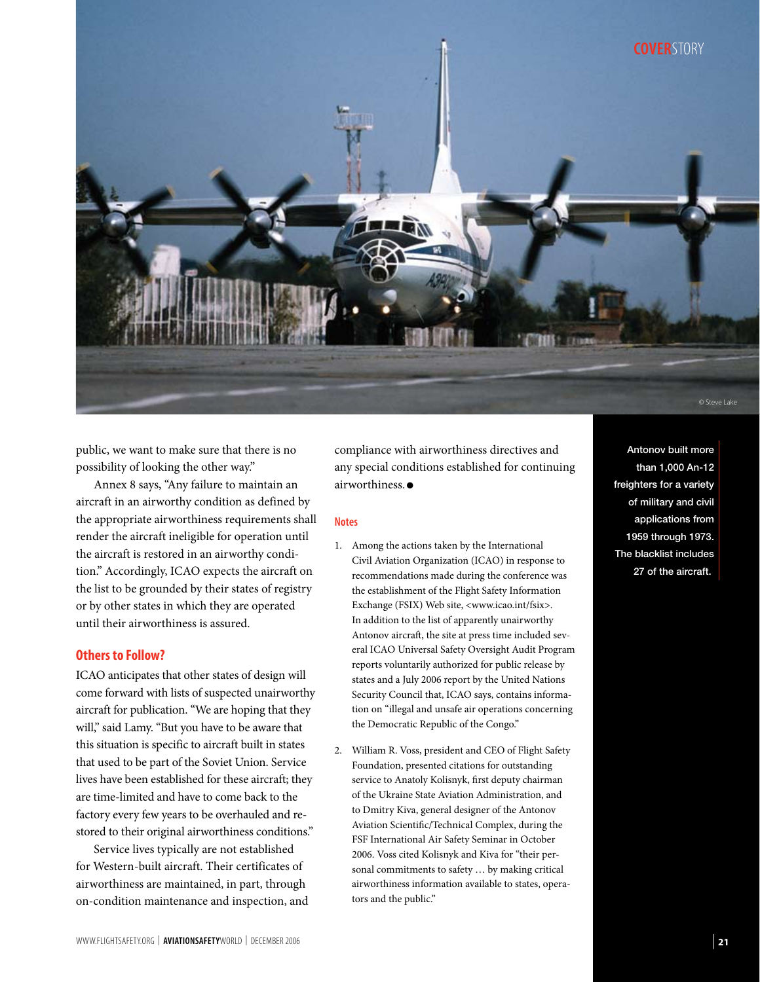

public, we want to make sure that there is no possibility of looking the other way."

Annex 8 says, "Any failure to maintain an aircraft in an airworthy condition as defined by the appropriate airworthiness requirements shall render the aircraft ineligible for operation until the aircraft is restored in an airworthy condition." Accordingly, ICAO expects the aircraft on the list to be grounded by their states of registry or by other states in which they are operated until their airworthiness is assured.

### **Others to Follow?**

ICAO anticipates that other states of design will come forward with lists of suspected unairworthy aircraft for publication. "We are hoping that they will," said Lamy. "But you have to be aware that this situation is specific to aircraft built in states that used to be part of the Soviet Union. Service lives have been established for these aircraft; they are time-limited and have to come back to the factory every few years to be overhauled and restored to their original airworthiness conditions."

Service lives typically are not established for Western-built aircraft. Their certificates of airworthiness are maintained, in part, through on-condition maintenance and inspection, and compliance with airworthiness directives and any special conditions established for continuing airworthiness. ●

#### **Notes**

- 1. Among the actions taken by the International Civil Aviation Organization (ICAO) in response to recommendations made during the conference was the establishment of the Flight Safety Information Exchange (FSIX) Web site, <www.icao.int/fsix>. In addition to the list of apparently unairworthy Antonov aircraft, the site at press time included several ICAO Universal Safety Oversight Audit Program reports voluntarily authorized for public release by states and a July 2006 report by the United Nations Security Council that, ICAO says, contains information on "illegal and unsafe air operations concerning the Democratic Republic of the Congo."
- 2. William R. Voss, president and CEO of Flight Safety Foundation, presented citations for outstanding service to Anatoly Kolisnyk, first deputy chairman of the Ukraine State Aviation Administration, and to Dmitry Kiva, general designer of the Antonov Aviation Scientific/Technical Complex, during the FSF International Air Safety Seminar in October 2006. Voss cited Kolisnyk and Kiva for "their personal commitments to safety … by making critical airworthiness information available to states, operators and the public."

Antonov built more than 1,000 An-12 freighters for a variety of military and civil applications from 1959 through 1973. The blacklist includes 27 of the aircraft.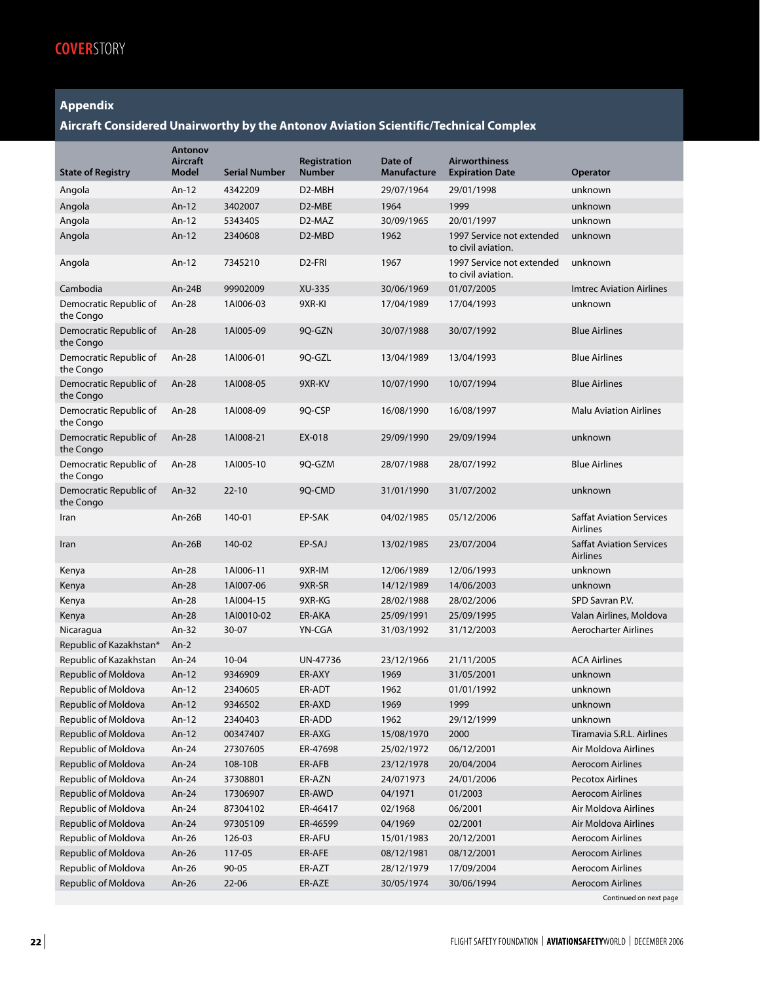## **Appendix**

## **Aircraft Considered Unairworthy by the Antonov Aviation Scientific/Technical Complex**

| <b>State of Registry</b>            | Antonov<br>Aircraft<br><b>Model</b> | <b>Serial Number</b> | Registration<br><b>Number</b> | Date of<br>Manufacture | <b>Airworthiness</b><br><b>Expiration Date</b>  | <b>Operator</b>                                    |
|-------------------------------------|-------------------------------------|----------------------|-------------------------------|------------------------|-------------------------------------------------|----------------------------------------------------|
| Angola                              | An-12                               | 4342209              | D2-MBH                        | 29/07/1964             | 29/01/1998                                      | unknown                                            |
| Angola                              | An-12                               | 3402007              | D2-MBE                        | 1964                   | 1999                                            | unknown                                            |
| Angola                              | An-12                               | 5343405              | D2-MAZ                        | 30/09/1965             | 20/01/1997                                      | unknown                                            |
| Angola                              | An-12                               | 2340608              | D <sub>2</sub> -MBD           | 1962                   | 1997 Service not extended<br>to civil aviation. | unknown                                            |
| Angola                              | An-12                               | 7345210              | D <sub>2</sub> -FRI           | 1967                   | 1997 Service not extended<br>to civil aviation. | unknown                                            |
| Cambodia                            | $An-24B$                            | 99902009             | XU-335                        | 30/06/1969             | 01/07/2005                                      | <b>Imtrec Aviation Airlines</b>                    |
| Democratic Republic of<br>the Congo | An-28                               | 1AI006-03            | 9XR-KI                        | 17/04/1989             | 17/04/1993                                      | unknown                                            |
| Democratic Republic of<br>the Congo | An-28                               | 1AI005-09            | 9Q-GZN                        | 30/07/1988             | 30/07/1992                                      | <b>Blue Airlines</b>                               |
| Democratic Republic of<br>the Congo | An-28                               | 1AI006-01            | 9Q-GZL                        | 13/04/1989             | 13/04/1993                                      | <b>Blue Airlines</b>                               |
| Democratic Republic of<br>the Congo | $An-28$                             | 1AI008-05            | 9XR-KV                        | 10/07/1990             | 10/07/1994                                      | <b>Blue Airlines</b>                               |
| Democratic Republic of<br>the Congo | An-28                               | 1AI008-09            | 9Q-CSP                        | 16/08/1990             | 16/08/1997                                      | <b>Malu Aviation Airlines</b>                      |
| Democratic Republic of<br>the Congo | An-28                               | 1AI008-21            | EX-018                        | 29/09/1990             | 29/09/1994                                      | unknown                                            |
| Democratic Republic of<br>the Congo | An-28                               | 1AI005-10            | 9Q-GZM                        | 28/07/1988             | 28/07/1992                                      | <b>Blue Airlines</b>                               |
| Democratic Republic of<br>the Congo | $An-32$                             | $22 - 10$            | 9O-CMD                        | 31/01/1990             | 31/07/2002                                      | unknown                                            |
| Iran                                | $An-26B$                            | 140-01               | EP-SAK                        | 04/02/1985             | 05/12/2006                                      | <b>Saffat Aviation Services</b><br><b>Airlines</b> |
| Iran                                | $An-26B$                            | 140-02               | EP-SAJ                        | 13/02/1985             | 23/07/2004                                      | <b>Saffat Aviation Services</b><br><b>Airlines</b> |
| Kenya                               | An-28                               | 1AI006-11            | 9XR-IM                        | 12/06/1989             | 12/06/1993                                      | unknown                                            |
| Kenya                               | An-28                               | 1AI007-06            | 9XR-SR                        | 14/12/1989             | 14/06/2003                                      | unknown                                            |
| Kenya                               | An-28                               | 1AI004-15            | 9XR-KG                        | 28/02/1988             | 28/02/2006                                      | SPD Savran P.V.                                    |
| Kenya                               | An-28                               | 1AI0010-02           | ER-AKA                        | 25/09/1991             | 25/09/1995                                      | Valan Airlines, Moldova                            |
| Nicaragua                           | An-32                               | 30-07                | YN-CGA                        | 31/03/1992             | 31/12/2003                                      | <b>Aerocharter Airlines</b>                        |
| Republic of Kazakhstan*             | $An-2$                              |                      |                               |                        |                                                 |                                                    |
| Republic of Kazakhstan              | An-24                               | $10 - 04$            | UN-47736                      | 23/12/1966             | 21/11/2005                                      | <b>ACA Airlines</b>                                |
| Republic of Moldova                 | $An-12$                             | 9346909              | ER-AXY                        | 1969                   | 31/05/2001                                      | unknown                                            |
| Republic of Moldova                 | An-12                               | 2340605              | ER-ADT                        | 1962                   | 01/01/1992                                      | unknown                                            |
| Republic of Moldova                 | An-12                               | 9346502              | ER-AXD                        | 1969                   | 1999                                            | unknown                                            |
| Republic of Moldova                 | An-12                               | 2340403              | ER-ADD                        | 1962                   | 29/12/1999                                      | unknown                                            |
| Republic of Moldova                 | An-12                               | 00347407             | ER-AXG                        | 15/08/1970             | 2000                                            | Tiramavia S.R.L. Airlines                          |
| Republic of Moldova                 | An-24                               | 27307605             | ER-47698                      | 25/02/1972             | 06/12/2001                                      | Air Moldova Airlines                               |
| Republic of Moldova                 | An-24                               | 108-10B              | ER-AFB                        | 23/12/1978             | 20/04/2004                                      | <b>Aerocom Airlines</b>                            |
| Republic of Moldova                 | An-24                               | 37308801             | ER-AZN                        | 24/071973              | 24/01/2006                                      | <b>Pecotox Airlines</b>                            |
| Republic of Moldova                 | An-24                               | 17306907             | ER-AWD                        | 04/1971                | 01/2003                                         | <b>Aerocom Airlines</b>                            |
| Republic of Moldova                 | An-24                               | 87304102             | ER-46417                      | 02/1968                | 06/2001                                         | Air Moldova Airlines                               |
| Republic of Moldova                 | An-24                               | 97305109             | ER-46599                      | 04/1969                | 02/2001                                         | Air Moldova Airlines                               |
| Republic of Moldova                 | An-26                               | 126-03               | ER-AFU                        | 15/01/1983             | 20/12/2001                                      | <b>Aerocom Airlines</b>                            |
| Republic of Moldova                 | An-26                               | 117-05               | ER-AFE                        | 08/12/1981             | 08/12/2001                                      | <b>Aerocom Airlines</b>                            |
| Republic of Moldova                 | An-26                               | $90 - 05$            | ER-AZT                        | 28/12/1979             | 17/09/2004                                      | <b>Aerocom Airlines</b>                            |
| Republic of Moldova                 | An-26                               | $22 - 06$            | ER-AZE                        | 30/05/1974             | 30/06/1994                                      | <b>Aerocom Airlines</b>                            |

Continued on next page